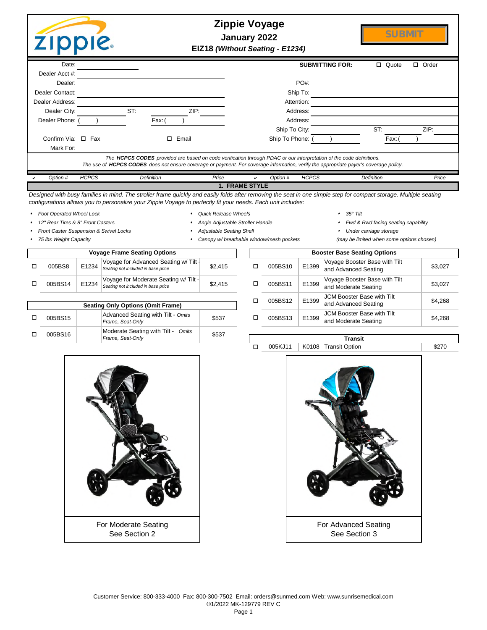| <b>ZIPPIE</b>           |              |            |                                                                                                                                                                                                                                                              | <b>Zippie Voyage</b><br>January 2022<br>EIZ18 (Without Seating - E1234) |               |                        |                   | <b>SUBMIT</b> |                 |
|-------------------------|--------------|------------|--------------------------------------------------------------------------------------------------------------------------------------------------------------------------------------------------------------------------------------------------------------|-------------------------------------------------------------------------|---------------|------------------------|-------------------|---------------|-----------------|
| Date:<br>Dealer Acct #: |              |            |                                                                                                                                                                                                                                                              |                                                                         |               | <b>SUBMITTING FOR:</b> | $\Box$<br>Quote   |               | $\Box$<br>Order |
| Dealer:                 |              |            |                                                                                                                                                                                                                                                              |                                                                         | $PO#$ :       |                        |                   |               |                 |
| Dealer Contact:         |              |            |                                                                                                                                                                                                                                                              |                                                                         | Ship To:      |                        |                   |               |                 |
| Dealer Address:         |              |            |                                                                                                                                                                                                                                                              |                                                                         | Attention:    |                        |                   |               |                 |
| Dealer City:            |              | ST:        | ZIP:                                                                                                                                                                                                                                                         |                                                                         | Address:      |                        |                   |               |                 |
| Dealer Phone:           |              | Fax: (     |                                                                                                                                                                                                                                                              |                                                                         | Address:      |                        |                   |               |                 |
|                         |              |            |                                                                                                                                                                                                                                                              |                                                                         | Ship To City: |                        | ST:               |               | ZIP:            |
| Confirm Via: $\Box$ Fax |              | □          | Email                                                                                                                                                                                                                                                        | Ship To Phone:                                                          |               |                        | Fax: (            |               |                 |
| Mark For:               |              |            |                                                                                                                                                                                                                                                              |                                                                         |               |                        |                   |               |                 |
|                         |              |            | The HCPCS CODES provided are based on code verification through PDAC or our interpretation of the code definitions.<br>The use of HCPCS CODES does not ensure coverage or payment. For coverage information, verify the appropriate payer's coverage policy. |                                                                         |               |                        |                   |               |                 |
| Option #                | <b>HCPCS</b> | Definition | Price                                                                                                                                                                                                                                                        | Option #<br>◡                                                           | <b>HCPCS</b>  |                        | <b>Definition</b> |               | Price           |
|                         |              |            |                                                                                                                                                                                                                                                              | <b>1. FRAME STYLE</b>                                                   |               |                        |                   |               |                 |
|                         |              |            | Designed with busy families in mind. The stroller frame quickly and easily folds after removing the seat in one simple step for compact storage. Multiple seating                                                                                            |                                                                         |               |                        |                   |               |                 |

Designed with busy families in mind. The stroller frame quickly and easily folds after removing the seat in one simple step for compact storage. Multiple seating *configurations allows you to personalize your Zippie Voyage to perfectly fit your needs. Each unit includes:*

- <sup>s</sup>*Foot Operated Wheel Lock* <sup>s</sup>*Quick Release Wheels* <sup>s</sup>*35° Tilt*
- - <sup>s</sup>*12" Rear Tires & 8" Front Casters* <sup>s</sup>*Angle Adjustable Stroller Handle* <sup>s</sup>*Fwd & Rwd facing seating capability*
		-
		-
		-
	- Front Caster Suspension & Swivel Locks **state of the seating Shell** seating Shell storage storage storage storage

o

- -
- 
- <sup>s</sup>*75 lbs Weight Capacity* <sup>s</sup>*Canopy w/ breathable window/mesh pockets (may be limited when some options chosen)*

|         | <b>Voyage Frame Seating Options</b>                                                  |                                                                             |         |  |         |       | <b>Booster Base Seating Options</b>                |  |  |  |
|---------|--------------------------------------------------------------------------------------|-----------------------------------------------------------------------------|---------|--|---------|-------|----------------------------------------------------|--|--|--|
| 005BS8  | Voyage for Advanced Seating w/ Tilt -<br>E1234<br>Seating not included in base price |                                                                             | \$2.415 |  | 005BS10 | E1399 | Voyage Booster Base with 7<br>and Advanced Seating |  |  |  |
| 005BS14 | E1234                                                                                | Voyage for Moderate Seating w/ Tilt -<br>Seating not included in base price | \$2.415 |  | 005BS11 | E1399 | Voyage Booster Base with 1<br>and Moderate Seating |  |  |  |
|         |                                                                                      |                                                                             |         |  |         |       | <b>JCM Booster Base with Tilt</b>                  |  |  |  |

|         | <b>Seating Only Options (Omit Frame)</b>               |       | UU3DƏ IZ | ⊏⊥ວອອ    | and Advanced                    |
|---------|--------------------------------------------------------|-------|----------|----------|---------------------------------|
| 005BS15 | Advanced Seating with Tilt - Omits<br>Frame, Seat-Only | \$537 | 005BS13  | E1399    | JCM Booster B<br>and Moderate 9 |
| 005BS16 | Moderate Seating with Tilt - Omits<br>Frame, Seat-Only | \$537 |          |          | Transit                         |
|         |                                                        |       |          | 11222222 | $\sim$ $\sim$                   |

| Booster Base Seating Options |       |                                                           |         |  |  |  |  |  |  |  |
|------------------------------|-------|-----------------------------------------------------------|---------|--|--|--|--|--|--|--|
| 005BS10                      | E1399 | Voyage Booster Base with Tilt<br>and Advanced Seating     | \$3,027 |  |  |  |  |  |  |  |
| 005BS11                      | E1399 | Voyage Booster Base with Tilt<br>and Moderate Seating     | \$3,027 |  |  |  |  |  |  |  |
| 005BS12                      | E1399 | <b>JCM Booster Base with Tilt</b><br>and Advanced Seating | \$4,268 |  |  |  |  |  |  |  |
| 005BS13                      | E1399 | <b>JCM Booster Base with Tilt</b><br>and Moderate Seating | \$4,268 |  |  |  |  |  |  |  |
|                              |       |                                                           |         |  |  |  |  |  |  |  |



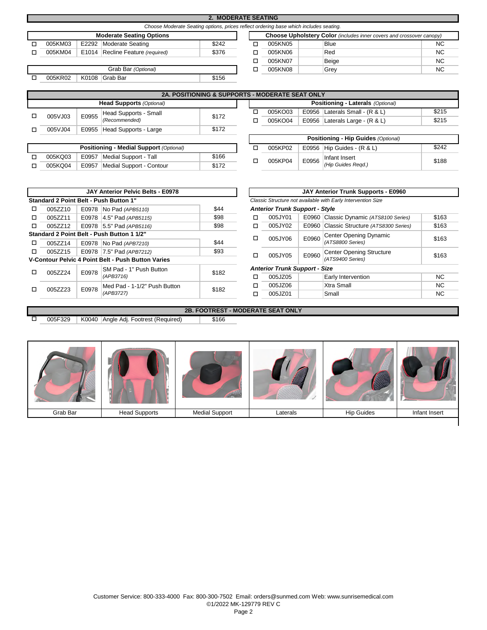|                                                                                       |  |                                  | <b>2. MODERATE SEATING</b> |                                                                             |         |             |           |  |  |  |  |
|---------------------------------------------------------------------------------------|--|----------------------------------|----------------------------|-----------------------------------------------------------------------------|---------|-------------|-----------|--|--|--|--|
| Choose Moderate Seating options, prices reflect ordering base which includes seating. |  |                                  |                            |                                                                             |         |             |           |  |  |  |  |
|                                                                                       |  | <b>Moderate Seating Options</b>  |                            | <b>Choose Upholstery Color</b> (includes inner covers and crossover canopy) |         |             |           |  |  |  |  |
| 005KM03                                                                               |  | E2292 Moderate Seating           | \$242                      |                                                                             | 005KN05 | <b>Blue</b> | <b>NC</b> |  |  |  |  |
| 005KM04                                                                               |  | E1014 Recline Feature (required) | \$376                      |                                                                             | 005KN06 | Red         | <b>NC</b> |  |  |  |  |
|                                                                                       |  |                                  |                            |                                                                             | 005KN07 | Beige       | <b>NC</b> |  |  |  |  |
|                                                                                       |  | Grab Bar (Optional)              |                            |                                                                             | 005KN08 | Grey        | <b>NC</b> |  |  |  |  |
| 005KR02                                                                               |  | K0108 Grab Bar                   | \$156                      |                                                                             |         |             |           |  |  |  |  |
|                                                                                       |  |                                  |                            |                                                                             |         |             |           |  |  |  |  |

| <b>2A. POSITIONING &amp; SUPPORTS - MODERATE SEAT ONLY</b> |       |                             |       |  |  |         |  |                                    |       |
|------------------------------------------------------------|-------|-----------------------------|-------|--|--|---------|--|------------------------------------|-------|
| <b>Head Supports (Optional)</b>                            |       |                             |       |  |  |         |  | Positioning - Laterals (Optional)  |       |
| 005VJ03                                                    | E0955 | Head Supports - Small       | \$172 |  |  | 005KO03 |  | E0956   Laterals Small - $(R & L)$ | \$215 |
|                                                            |       | (Recommended)               |       |  |  | 005KO04 |  | E0956   Laterals Large - $(R & L)$ | \$215 |
| 005VJ04                                                    |       | E0955 Head Supports - Large | \$172 |  |  |         |  |                                    |       |

|         |       | 005KP02                  |       |  |         |
|---------|-------|--------------------------|-------|--|---------|
| 005KQ03 | E0957 | Medial Support - Tall    | \$166 |  | 005KP04 |
| 005KQ04 | E0957 | Medial Support - Contour | \$172 |  |         |

| <b>2A. POSITIONING &amp; SUPPORTS - MODERATE SEAT ONLY</b> |       |  |  |         |  |                                   |       |  |  |  |
|------------------------------------------------------------|-------|--|--|---------|--|-----------------------------------|-------|--|--|--|
| <b>Head Supports (Optional)</b>                            |       |  |  |         |  | Positioning - Laterals (Optional) |       |  |  |  |
| Head Supports - Small                                      | \$172 |  |  | 005KO03 |  | E0956 Laterals Small - $(R & L)$  | \$215 |  |  |  |
| (Recommended)                                              |       |  |  | 005KO04 |  | E0956 Laterals Large - $(R & L)$  | \$215 |  |  |  |
|                                                            | 0.470 |  |  |         |  |                                   |       |  |  |  |

| Positioning - Hip Guides (Optional) |       |                                     |       |  |  |  |  |  |  |
|-------------------------------------|-------|-------------------------------------|-------|--|--|--|--|--|--|
| 005KP02                             |       | E0956   Hip Guides - $(R & L)$      | \$242 |  |  |  |  |  |  |
| 005KP04                             | E0956 | Infant Insert<br>(Hip Guides Regd.) | \$188 |  |  |  |  |  |  |

|         |       | <b>JAY Anterior Pelvic Belts - E0978</b>                  |       |   |                                       |       | JAY Anterior Trunk Supports - E0960                          |           |
|---------|-------|-----------------------------------------------------------|-------|---|---------------------------------------|-------|--------------------------------------------------------------|-----------|
|         |       | Standard 2 Point Belt - Push Button 1"                    |       |   |                                       |       | Classic Structure not available with Early Intervention Size |           |
| 005ZZ10 |       | E0978   No Pad (APB5110)                                  | \$44  |   | <b>Anterior Trunk Support - Style</b> |       |                                                              |           |
| 005ZZ11 |       | E0978 4.5" Pad (APB5115)                                  | \$98  | □ | 005JY01                               |       | E0960 Classic Dynamic (ATS8100 Series)                       | \$163     |
| 005ZZ12 |       | E0978 5.5" Pad (APB5116)                                  | \$98  | □ | 005JY02                               |       | E0960 Classic Structure (ATS8300 Series)                     | \$163     |
|         |       | Standard 2 Point Belt - Push Button 1 1/2"                |       | □ | 005JY06                               | E0960 | Center Opening Dynamic                                       | \$163     |
| 005ZZ14 |       | E0978 No Pad (APB7210)                                    | \$44  |   |                                       |       | (ATS8800 Series)                                             |           |
| 005ZZ15 |       | E0978 7.5" Pad (APB7212)                                  | \$93  | □ | 005JY05                               | E0960 | Center Opening Structure                                     | \$163     |
|         |       | <b>V-Contour Pelvic 4 Point Belt - Push Button Varies</b> |       |   |                                       |       | (ATS9400 Series)                                             |           |
| 005ZZ24 | E0978 | SM Pad - 1" Push Button                                   | \$182 |   | <b>Anterior Trunk Support - Size</b>  |       |                                                              |           |
|         |       | (APB3716)                                                 |       | □ | 005JZ05                               |       | Early Intervention                                           | NC.       |
| 005ZZ23 | E0978 | Med Pad - 1-1/2" Push Button                              | \$182 |   | 005JZ06                               |       | Xtra Small                                                   | NC.       |
|         |       | (APB3727)                                                 |       | □ | 005JZ01                               |       | Small                                                        | <b>NC</b> |

005F329 | K0040 | Angle Adj. Footrest (Required) | \$166

o

|         |       | JAY ANTERIOR PEIVIC BEITS - EUY/8             |       | JAY ANTERIOR TRUNK SUPPORTS - EUYOU                          |                                       |       |                                    |       |  |
|---------|-------|-----------------------------------------------|-------|--------------------------------------------------------------|---------------------------------------|-------|------------------------------------|-------|--|
|         |       | ard 2 Point Belt - Push Button 1"             |       | Classic Structure not available with Early Intervention Size |                                       |       |                                    |       |  |
| 005ZZ10 |       | E0978   No Pad (APB5110)                      | \$44  |                                                              | <b>Anterior Trunk Support - Style</b> |       |                                    |       |  |
| 005ZZ11 |       | E0978 4.5" Pad (APB5115)                      | \$98  |                                                              | 005JY01                               | E0960 | Classic Dynamic (ATS8100 Series)   | \$163 |  |
| 005ZZ12 |       | E0978 5.5" Pad (APB5116)                      | \$98  | □                                                            | 005JY02                               | E0960 | Classic Structure (ATS8300 Series) | \$163 |  |
|         |       | ard 2 Point Belt - Push Button 1 1/2"         |       | □                                                            | 005JY06                               | E0960 | Center Opening Dynamic             | \$163 |  |
| 005ZZ14 |       | E0978   No Pad (APB7210)                      | \$44  |                                                              |                                       |       | (ATS8800 Series)                   |       |  |
| 005ZZ15 |       | E0978 7.5" Pad (APB7212)                      | \$93  | □                                                            | 005JY05                               | E0960 | <b>Center Opening Structure</b>    | \$163 |  |
|         |       | tour Pelvic 4 Point Belt - Push Button Varies |       |                                                              |                                       |       | (ATS9400 Series)                   |       |  |
| 005ZZ24 | E0978 | SM Pad - 1" Push Button                       | \$182 |                                                              | <b>Anterior Trunk Support - Size</b>  |       |                                    |       |  |
|         |       | (APB3716)                                     |       | п                                                            | 005JZ05                               |       | Early Intervention                 | NC.   |  |
| 005ZZ23 | E0978 | Med Pad - 1-1/2" Push Button                  | \$182 | ◻                                                            | 005JZ06                               |       | Xtra Small                         | NC.   |  |
|         |       | (APB3727)                                     |       |                                                              | 005JZ01                               |       | Small                              | NC.   |  |

# Grab Bar | Head Supports | Medial Support | Laterals | Hip Guides | Infant Insert

**2B. FOOTREST - MODERATE SEAT ONLY**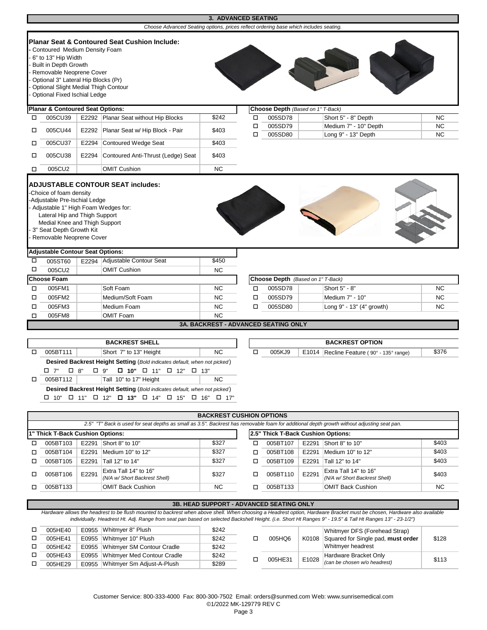|        |                                                                                                                                                                                                                                 |       |                                                                                                                                  | 3. ADVANCED SEATING |        |                                             |                                          |           |
|--------|---------------------------------------------------------------------------------------------------------------------------------------------------------------------------------------------------------------------------------|-------|----------------------------------------------------------------------------------------------------------------------------------|---------------------|--------|---------------------------------------------|------------------------------------------|-----------|
|        |                                                                                                                                                                                                                                 |       | Choose Advanced Seating options, prices reflect ordering base which includes seating.                                            |                     |        |                                             |                                          |           |
|        | Contoured Medium Density Foam<br>6" to 13" Hip Width<br><b>Built in Depth Growth</b><br>Removable Neoprene Cover<br>Optional 3" Lateral Hip Blocks (Pr)<br>Optional Slight Medial Thigh Contour<br>Optional Fixed Ischial Ledge |       | Planar Seat & Contoured Seat Cushion Include:                                                                                    |                     |        |                                             |                                          |           |
|        | <b>Planar &amp; Contoured Seat Options:</b>                                                                                                                                                                                     |       |                                                                                                                                  |                     |        | Choose Depth (Based on 1" T-Back)           |                                          |           |
| □      | 005CU39                                                                                                                                                                                                                         |       | E2292 Planar Seat without Hip Blocks                                                                                             | \$242               | □      | 005SD78                                     | Short 5" - 8" Depth                      | <b>NC</b> |
| □      | 005CU44                                                                                                                                                                                                                         | E2292 | Planar Seat w/ Hip Block - Pair                                                                                                  | \$403               | $\Box$ | 005SD79                                     | Medium 7" - 10" Depth                    | <b>NC</b> |
|        |                                                                                                                                                                                                                                 |       |                                                                                                                                  |                     | $\Box$ | 005SD80                                     | Long 9" - 13" Depth                      | <b>NC</b> |
| □      | 005CU37                                                                                                                                                                                                                         |       | E2294 Contoured Wedge Seat                                                                                                       | \$403               |        |                                             |                                          |           |
| □      | 005CU38                                                                                                                                                                                                                         | E2294 | Contoured Anti-Thrust (Ledge) Seat                                                                                               | \$403               |        |                                             |                                          |           |
| □      | 005CU2                                                                                                                                                                                                                          |       | <b>OMIT Cushion</b>                                                                                                              | <b>NC</b>           |        |                                             |                                          |           |
|        | -Adjustable Pre-Ischial Ledge<br>- Adjustable 1" High Foam Wedges for:<br>Lateral Hip and Thigh Support<br>Medial Knee and Thigh Support<br>3" Seat Depth Growth Kit<br>Removable Neoprene Cover                                |       |                                                                                                                                  |                     |        |                                             |                                          |           |
|        | <b>Adjustable Contour Seat Options:</b>                                                                                                                                                                                         |       |                                                                                                                                  |                     |        |                                             |                                          |           |
| □      | 005ST60                                                                                                                                                                                                                         |       | E2294 Adjustable Contour Seat                                                                                                    | \$450               |        |                                             |                                          |           |
| □      | 005CU2                                                                                                                                                                                                                          |       | <b>OMIT Cushion</b>                                                                                                              | <b>NC</b>           |        |                                             |                                          |           |
|        | <b>Choose Foam</b>                                                                                                                                                                                                              |       |                                                                                                                                  |                     |        | Choose Depth (Based on 1" T-Back)           |                                          |           |
| □      | 005FM1                                                                                                                                                                                                                          |       | Soft Foam                                                                                                                        | <b>NC</b>           | □      | 005SD78                                     | Short 5" - 8"                            | <b>NC</b> |
| □      | 005FM2                                                                                                                                                                                                                          |       | Medium/Soft Foam                                                                                                                 | <b>NC</b>           | $\Box$ | 005SD79                                     | Medium 7" - 10"                          | <b>NC</b> |
| □      | 005FM3                                                                                                                                                                                                                          |       | Medium Foam                                                                                                                      | <b>NC</b>           | $\Box$ | 005SD80                                     | Long 9" - 13" (4" growth)                | <b>NC</b> |
| $\Box$ | 005FM8                                                                                                                                                                                                                          |       | <b>OMIT Foam</b>                                                                                                                 | <b>NC</b>           |        |                                             |                                          |           |
|        |                                                                                                                                                                                                                                 |       |                                                                                                                                  |                     |        | <b>3A. BACKREST - ADVANCED SEATING ONLY</b> |                                          |           |
|        |                                                                                                                                                                                                                                 |       |                                                                                                                                  |                     |        |                                             |                                          |           |
|        |                                                                                                                                                                                                                                 |       | <b>BACKREST SHELL</b>                                                                                                            |                     |        |                                             | <b>BACKREST OPTION</b>                   |           |
| □      | 005BT111                                                                                                                                                                                                                        |       | Short 7" to 13" Height                                                                                                           | <b>NC</b>           | $\Box$ | 005KJ9                                      | E1014 Recline Feature (90° - 135° range) | \$376     |
|        | $\square$ 7"<br>$\square$ 8"                                                                                                                                                                                                    |       | Desired Backrest Height Setting (Bold indicates default, when not picked)<br>$\Box$ 10" $\Box$ 11" $\Box$ 12" $\Box$ 13"<br>□ 9" |                     |        |                                             |                                          |           |

|                                                                                                                                             |       |                                                        | <b>BACKREST CUSHION OPTIONS</b> |   |          |       |                                                        |       |  |  |  |
|---------------------------------------------------------------------------------------------------------------------------------------------|-------|--------------------------------------------------------|---------------------------------|---|----------|-------|--------------------------------------------------------|-------|--|--|--|
| 2.5" "T" Back is used for seat depths as small as 3.5". Backrest has removable foam for additional depth growth without adjusting seat pan. |       |                                                        |                                 |   |          |       |                                                        |       |  |  |  |
| 2.5" Thick T-Back Cushion Options:<br>1" Thick T-Back Cushion Options:                                                                      |       |                                                        |                                 |   |          |       |                                                        |       |  |  |  |
| 005BT103                                                                                                                                    | E2291 | Short 8" to 10"                                        | \$327                           | □ | 005BT107 | E2291 | Short 8" to 10"                                        | \$403 |  |  |  |
| 005BT104                                                                                                                                    | E2291 | Medium 10" to 12"                                      | \$327                           |   | 005BT108 | E2291 | Medium 10" to 12"                                      | \$403 |  |  |  |
| 005BT105                                                                                                                                    | E2291 | Tall 12" to 14"                                        | \$327                           |   | 005BT109 | E2291 | Tall 12" to 14"                                        | \$403 |  |  |  |
| 005BT106                                                                                                                                    | E2291 | Extra Tall 14" to 16"<br>(N/A w/ Short Backrest Shell) | \$327                           | п | 005BT110 | E2291 | Extra Tall 14" to 16"<br>(N/A w/ Short Backrest Shell) | \$403 |  |  |  |
| 005BT133                                                                                                                                    |       | <b>OMIT Back Cushion</b>                               | NC.                             |   | 005BT133 |       | <b>OMIT Back Cushion</b>                               | NC.   |  |  |  |
|                                                                                                                                             |       |                                                        |                                 |   |          |       |                                                        |       |  |  |  |

# **3B. HEAD SUPPORT - ADVANCED SEATING ONLY** Hardware allows the headrest to be flush mounted to backrest when above shell. When choosing a Headrest option, Hardware Bracket must be chosen, Hardware also available *individually. Headrest Ht. Adj. Range from seat pan based on selected Backshell Height. (i.e. Short Ht Ranges 9" - 19.5" & Tall Ht Ranges 13" - 23-1/2")*

 $\begin{array}{c}\n\hline\n\end{array}$  005BT112

 $\Box$  10"  $\Box$  11"  $\Box$  12"  $\Box$  13"  $\Box$  14"  $\Box$  15"  $\Box$  16"  $\Box$  17"

**Desired Backrest Height Setting** (*Bold indicates default, when not picked* )

Tall 10" to 17" Height NC

| 005HE40 | E0955 Whitmver 8" Plush           | \$242 |         |       | Whitmyer DFS (Forehead Strap)            |       |
|---------|-----------------------------------|-------|---------|-------|------------------------------------------|-------|
| 005HE41 | E0955 Whitmyer 10" Plush          | \$242 | 005HQ6  |       | K0108 Squared for Single pad, must order | \$128 |
| 005HE42 | E0955 Whitmver SM Contour Cradle  | \$242 |         |       | Whitmyer headrest                        |       |
| 005HE43 | E0955 Whitmyer Med Contour Cradle | \$242 | 005HE31 | E1028 | Hardware Bracket Only                    | \$113 |
| 005HE29 | E0955 Whitmver Sm Adiust-A-Plush  | \$289 |         |       | (can be chosen w/o headrest)             |       |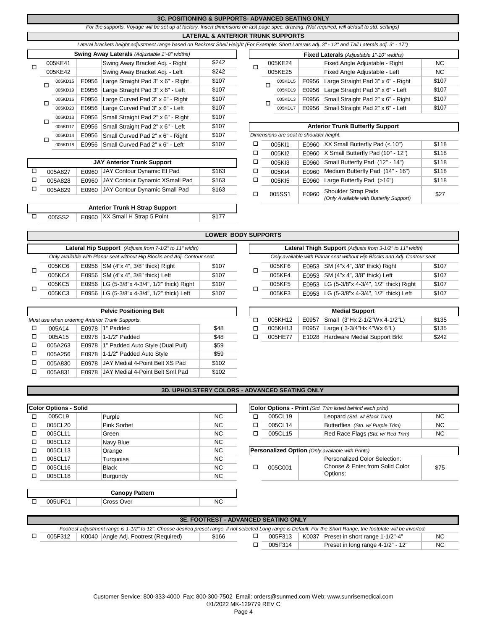## **3C. POSITIONING & SUPPORTS- ADVANCED SEATING ONLY**

*For the supports, Voyage will be set up at factory. Insert dimensions on last page spec. drawing. (Not required, will default to std. settings)*

### **LATERAL & ANTERIOR TRUNK SUPPORTS**

|   |   |         |       | Lateral brackets height adjustment range based on Backrest Shell Height (For Example: Short Laterals adj. 3" - 12" and Tall Laterals adj. 3" - 17", |       |                                           |         |                                         |       |                                         |
|---|---|---------|-------|-----------------------------------------------------------------------------------------------------------------------------------------------------|-------|-------------------------------------------|---------|-----------------------------------------|-------|-----------------------------------------|
|   |   |         |       | <b>Swing Away Laterals</b> (Adjustable 1"-8" widths)                                                                                                |       | Fixed Laterals (Adjustable 1"-10" widths) |         |                                         |       |                                         |
| П |   | 005KE41 |       | Swing Away Bracket Adj. - Right                                                                                                                     | \$242 |                                           |         | 005KE24                                 |       | Fixed Angle Adjustable - Right          |
|   |   | 005KE42 |       | Swing Away Bracket Adj. - Left                                                                                                                      | \$242 |                                           | 005KE25 |                                         |       | Fixed Angle Adjustable - Left           |
|   |   | 005KD15 | E0956 | Large Straight Pad 3" x 6" - Right                                                                                                                  | \$107 |                                           |         | 005KD15                                 | E0956 | Large Straight Pad 3" x 6" - Righ       |
|   | ◻ | 005KD19 | E0956 | Large Straight Pad 3" x 6" - Left                                                                                                                   | \$107 |                                           |         | 005KD19                                 | E0956 | Large Straight Pad 3" x 6" - Left       |
|   |   | 005KD16 | E0956 | Large Curved Pad 3" x 6" - Right                                                                                                                    | \$107 |                                           |         | 005KD13                                 | E0956 | Small Straight Pad 2" x 6" - Righ       |
|   |   | 005KD20 | E0956 | Large Curved Pad 3" x 6" - Left                                                                                                                     | \$107 |                                           |         | 005KD17                                 | E0956 | Small Straight Pad 2" x 6" - Left       |
|   |   | 005KD13 | E0956 | Small Straight Pad 2" x 6" - Right                                                                                                                  | \$107 |                                           |         |                                         |       |                                         |
|   | □ | 005KD17 | E0956 | Small Straight Pad 2" x 6" - Left                                                                                                                   | \$107 |                                           |         |                                         |       | <b>Anterior Trunk Butterfly Support</b> |
|   |   | 005KD14 | E0956 | Small Curved Pad 2" x 6" - Right                                                                                                                    | \$107 |                                           |         | Dimensions are seat to shoulder height. |       |                                         |
|   |   | 005KD18 | E0956 | Small Curved Pad 2" x 6" - Left                                                                                                                     | \$107 |                                           |         | 005K11                                  | E0960 | XX Small Butterfly Pad (< 10")          |

| <b>JAY Anterior Trunk Support</b> |  |  |                                                                                                                 |  |  |  |  |  |  |
|-----------------------------------|--|--|-----------------------------------------------------------------------------------------------------------------|--|--|--|--|--|--|
| 005A827                           |  |  | \$163                                                                                                           |  |  |  |  |  |  |
| 005A828                           |  |  | \$163                                                                                                           |  |  |  |  |  |  |
| 005A829                           |  |  | \$163                                                                                                           |  |  |  |  |  |  |
|                                   |  |  | E0960 JAY Contour Dynamic El Pad<br>E0960 JAY Contour Dynamic XSmall Pad<br>E0960 JAY Contour Dynamic Small Pad |  |  |  |  |  |  |

|        | <b>Anterior Trunk H Strap Support</b> |       |
|--------|---------------------------------------|-------|
| 005SS2 | E0960 XX Small H Strap 5 Point        | \$177 |

|         |       | Lateral drackets neight adjustment range dased on Backrest Shell Height (For Example: Short Laterals adj. 3" - 12" and Tail Laterals adj. 3" - 17") |       |  |         |       |                                           |       |
|---------|-------|-----------------------------------------------------------------------------------------------------------------------------------------------------|-------|--|---------|-------|-------------------------------------------|-------|
|         |       | <b>Swing Away Laterals</b> (Adjustable 1"-8" widths)                                                                                                |       |  |         |       | Fixed Laterals (Adjustable 1"-10" widths) |       |
| 005KE41 |       | \$242<br>Swing Away Bracket Adj. - Right                                                                                                            |       |  | 005KE24 |       | Fixed Angle Adjustable - Right            | NC.   |
| 005KE42 |       | Swing Away Bracket Adj. - Left                                                                                                                      | \$242 |  | 005KE25 |       | Fixed Angle Adjustable - Left             | NC.   |
| 005KD15 | E0956 | Large Straight Pad 3" x 6" - Right                                                                                                                  | \$107 |  | 005KD15 | E0956 | Large Straight Pad 3" x 6" - Right        | \$107 |
| 005KD19 | E0956 | Large Straight Pad 3" x 6" - Left                                                                                                                   | \$107 |  | 005KD19 | E0956 | Large Straight Pad 3" x 6" - Left         | \$107 |
| 005KD16 | E0956 | Large Curved Pad 3" x 6" - Right                                                                                                                    | \$107 |  | 005KD13 | E0956 | Small Straight Pad 2" x 6" - Right        | \$107 |
| 005KD20 | E0956 | Large Curved Pad 3" x 6" - Left                                                                                                                     | \$107 |  | 005KD17 |       | E0956 Small Straight Pad 2" x 6" - Left   | \$107 |
| 005KD13 |       | F0956 Small Straight Pad 2" x 6" - Right                                                                                                            | \$107 |  |         |       |                                           |       |

| 005KD17 |       | E0956 Small Straight Pad 2" x 6" - Left | \$107                                                                                                                                                                                                           |        |        |        | <b>Anterior Trunk Butterfly Support</b> |                                                                                                                                                                                                                                                                     |
|---------|-------|-----------------------------------------|-----------------------------------------------------------------------------------------------------------------------------------------------------------------------------------------------------------------|--------|--------|--------|-----------------------------------------|---------------------------------------------------------------------------------------------------------------------------------------------------------------------------------------------------------------------------------------------------------------------|
| 005KD14 | E0956 |                                         | \$107                                                                                                                                                                                                           |        |        |        |                                         |                                                                                                                                                                                                                                                                     |
| 005KD18 |       |                                         | \$107                                                                                                                                                                                                           | □      | 005K11 | E0960  |                                         | \$118                                                                                                                                                                                                                                                               |
|         |       |                                         |                                                                                                                                                                                                                 | $\Box$ | 005KI2 |        |                                         | \$118                                                                                                                                                                                                                                                               |
|         |       |                                         |                                                                                                                                                                                                                 | □      | 005KI3 | E0960  |                                         | \$118                                                                                                                                                                                                                                                               |
| 005A827 | E0960 |                                         | \$163                                                                                                                                                                                                           | □      | 005KI4 | E0960  |                                         | \$118                                                                                                                                                                                                                                                               |
| 005A828 | E0960 |                                         | \$163                                                                                                                                                                                                           | □      | 005KI5 | E0960  |                                         | \$118                                                                                                                                                                                                                                                               |
| 005A829 | E0960 |                                         | \$163                                                                                                                                                                                                           |        |        |        |                                         | \$27                                                                                                                                                                                                                                                                |
|         |       |                                         |                                                                                                                                                                                                                 |        |        |        | (Only Available with Butterfly Support) |                                                                                                                                                                                                                                                                     |
|         |       |                                         | Small Curved Pad 2" x 6" - Right<br>E0956 Small Curved Pad 2" x 6" - Left<br><b>JAY Anterior Trunk Support</b><br>JAY Contour Dynamic El Pad<br>JAY Contour Dynamic XSmall Pad<br>JAY Contour Dynamic Small Pad |        |        | 005SS1 | E0960                                   | Dimensions are seat to shoulder height.<br>$ XX \text{ Small Butterfly}$ Pad (< 10")<br>E0960 $\vert$ X Small Butterfly Pad (10" - 12")<br>Small Butterfly Pad (12" - 14")<br>Medium Butterfly Pad (14" - 16")<br>Large Butterfly Pad (>16")<br>Shoulder Strap Pads |

|   |        |                                                                           | <b>LOWER BODY SUPPORTS</b> |        |                                                                           |  |
|---|--------|---------------------------------------------------------------------------|----------------------------|--------|---------------------------------------------------------------------------|--|
|   |        | Lateral Hip Support (Adjusts from 7-1/2" to 11" width)                    |                            |        | Lateral Thigh Support (Adjusts from 3-1/2" to 11" width)                  |  |
|   |        | Only available with Planar seat without Hip Blocks and Adj. Contour seat. |                            |        | Only available with Planar seat without Hip Blocks and Adj. Contour seat. |  |
| п | 005KC6 | E0956   SM (4"x 4", 3/8" thick) Right                                     | \$107                      | 005KF6 | E0953 SM (4"x 4", 3/8" thick) Right                                       |  |
|   | 005KC4 | E0956   SM (4"x 4", 3/8" thick) Left                                      | \$107                      | 005KF4 | E0953 $SM$ (4"x 4", 3/8" thick) Left                                      |  |
| п | 005KC5 | E0956   LG (5-3/8"x 4-3/4", 1/2" thick) Right                             | \$107                      | 005KF5 | E0953 LG (5-3/8"x 4-3/4", 1/2" thick) Right                               |  |
|   | 005KC3 | E0956   LG (5-3/8"x 4-3/4", 1/2" thick) Left                              | \$107                      | 005KF3 | E0953 LG (5-3/8"x 4-3/4", 1/2" thick) Left                                |  |

|         | <b>Pelvic Positioning Belt</b>                  |       |  |         |       | <b>Medial Support</b>              |       |
|---------|-------------------------------------------------|-------|--|---------|-------|------------------------------------|-------|
|         | Must use when ordering Anterior Trunk Supports. |       |  | 005KH12 | E0957 | Small (3"Hx 2-1/2"Wx 4-1/2"L)      | \$135 |
| 005A14  | E0978 1" Padded                                 | \$48  |  | 005KH13 | E0957 | Large (3-3/4"Hx 4"Wx 6"L)          | \$135 |
| 005A15  | E0978 1-1/2" Padded                             | \$48  |  | 005HE77 |       | E1028 Hardware Medial Support Brkt | \$242 |
| 005A263 | E0978  1" Padded Auto Style (Dual Pull)         | \$59  |  |         |       |                                    |       |
| 005A256 | E0978 1-1/2" Padded Auto Style                  | \$59  |  |         |       |                                    |       |
| 005A830 | E0978 JAY Medial 4-Point Belt XS Pad            | \$102 |  |         |       |                                    |       |
| 005A831 | E0978 JAY Medial 4-Point Belt Sml Pad           | \$102 |  |         |       |                                    |       |

|                                                                           |  |                                                        | <b>LOWER BODY SUPPORTS</b> |  |        |                                                                           |       |
|---------------------------------------------------------------------------|--|--------------------------------------------------------|----------------------------|--|--------|---------------------------------------------------------------------------|-------|
|                                                                           |  | Lateral Hip Support (Adjusts from 7-1/2" to 11" width) |                            |  |        | Lateral Thigh Support (Adjusts from 3-1/2" to 11" width)                  |       |
| Only available with Planar seat without Hip Blocks and Adj. Contour seat. |  |                                                        |                            |  |        | Only available with Planar seat without Hip Blocks and Adj. Contour seat. |       |
| 005KC6                                                                    |  | E0956 $SM$ (4"x 4", 3/8" thick) Right                  | \$107                      |  | 005KF6 | E0953 SM (4"x 4", 3/8" thick) Right                                       | \$107 |
| 005KC4                                                                    |  | E0956 SM (4"x 4", 3/8" thick) Left                     | \$107                      |  | 005KF4 | E0953 $SM$ (4"x 4", 3/8" thick) Left                                      | \$107 |
| 005KC5                                                                    |  | E0956   LG (5-3/8"x 4-3/4", 1/2" thick) Right          | \$107                      |  | 005KF5 | E0953 LG (5-3/8"x 4-3/4", 1/2" thick) Right                               | \$107 |
| 005KC3                                                                    |  | E0956   LG (5-3/8"x 4-3/4", 1/2" thick) Left           | \$107                      |  | 005KF3 | E0953 LG (5-3/8"x 4-3/4", 1/2" thick) Left                                | \$107 |

|        | <b>Pelvic Positioning Belt</b>         |      |  |         | <b>Medial Support</b> |                                          |       |
|--------|----------------------------------------|------|--|---------|-----------------------|------------------------------------------|-------|
|        | when ordering Anterior Trunk Supports. |      |  | 005KH12 | E0957                 | Small (3"Hx 2-1/2"Wx 4-1/2"L)            | \$135 |
| 005A14 | E0978 1" Padded                        | \$48 |  | 005KH13 |                       | E0957   Large ( $3-3/4$ "Hx $4$ "Wx 6"L) | \$135 |
| 005A15 | E0978 1-1/2" Padded                    | \$48 |  | 005HE77 |                       | E1028 Hardware Medial Support Brkt       | \$242 |

### **3D. UPHOLSTERY COLORS - ADVANCED SEATING ONLY**

|   | <b>Color Options - Solid</b> |                    |     |   |         | Color Options - Print (Std. Trim listed behind ea |
|---|------------------------------|--------------------|-----|---|---------|---------------------------------------------------|
|   | 005CL9                       | Purple             | NC. | ◻ | 005CL19 | Leopard (Std. w/B                                 |
|   | 005CL20                      | <b>Pink Sorbet</b> | NC. | п | 005CL14 | Butterflies (Std. w                               |
| п | 005CL11                      | Green              | NC. | п | 005CL15 | Red Race Flags                                    |
| п | 005CL12                      | Navy Blue          | NC. |   |         |                                                   |
| п | 005CL13                      | Orange             | NC. |   |         | Personalized Option (Only available with Prints)  |
| п | 005CL17                      | Turguoise          | NC. |   |         | Personalized Col                                  |
|   | 005CL16                      | <b>Black</b>       | NC. | п | 005C001 | Choose & Enter f                                  |
|   | 005CL18                      | Burgundy           | NC. |   |         | Options:                                          |

| Options - Solid |  |             |           | Color Options - Print (Std. Trim listed behind each print) |         |  |                                   |           |  |  |
|-----------------|--|-------------|-----------|------------------------------------------------------------|---------|--|-----------------------------------|-----------|--|--|
| 005CL9          |  | Purple      | NC        |                                                            | 005CL19 |  | Leopard (Std. w/ Black Trim)      | <b>NC</b> |  |  |
| 005CL20         |  | Pink Sorbet | <b>NC</b> |                                                            | 005CL14 |  | Butterflies (Std. w/ Purple Trim) | NC.       |  |  |
| 005CL11         |  | Green       | <b>NC</b> |                                                            | 005CL15 |  | Red Race Flags (Std. w/Red Trim)  | <b>NC</b> |  |  |
| 005CL12         |  | Navy Blue   | <b>NC</b> |                                                            |         |  |                                   |           |  |  |

| 005CL13 | Orange       | NG.       |  | <b>IPersonalized Option</b> (Only available with Prints) |  |                                             |      |  |
|---------|--------------|-----------|--|----------------------------------------------------------|--|---------------------------------------------|------|--|
| 005CL17 | Turauoise    | <b>NC</b> |  | 005C001                                                  |  | Personalized Color Selection:               |      |  |
| 005CL16 | <b>Black</b> | ΝC        |  |                                                          |  | Choose & Enter from Solid Color<br>Options: | \$75 |  |
| 005CL18 | Burgundy     | ΝC        |  |                                                          |  |                                             |      |  |
|         |              |           |  |                                                          |  |                                             |      |  |

| <b>Canopy Pattern</b> |            |  |  |  |  |  |  |
|-----------------------|------------|--|--|--|--|--|--|
| 0051 IF01             | Cross Over |  |  |  |  |  |  |
|                       |            |  |  |  |  |  |  |

| <b>3E. FOOTREST - ADVANCED SEATING ONLY</b>                                                                                                                          |  |  |         |  |                                   |           |  |  |
|----------------------------------------------------------------------------------------------------------------------------------------------------------------------|--|--|---------|--|-----------------------------------|-----------|--|--|
| Footrest adjustment range is 1-1/2" to 12". Choose desired preset range, if not selected Long range is Default. For the Short Range, the footplate will be inverted. |  |  |         |  |                                   |           |  |  |
| \$166<br>005F312<br>K0040 Angle Adj. Footrest (Required)<br>K0037 Preset in short range 1-1/2"-4"<br>005F313                                                         |  |  |         |  |                                   |           |  |  |
|                                                                                                                                                                      |  |  | 005F314 |  | Preset in long range 4-1/2" - 12" | <b>NC</b> |  |  |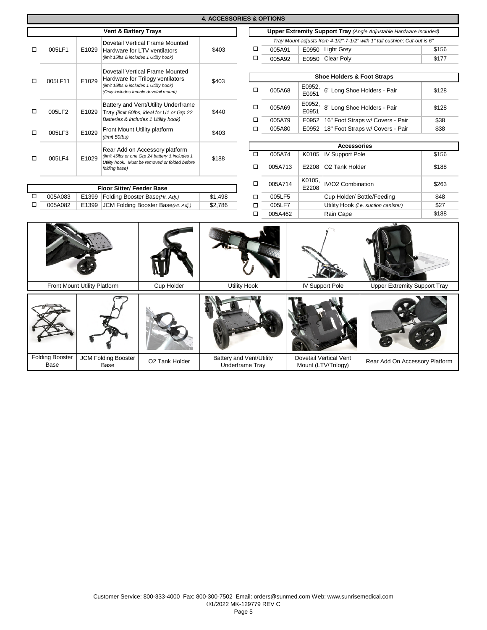| <b>4. ACCESSORIES &amp; OPTIONS</b>                                                           |         |       |                        |                                                                                                             |                                                                           |                                                 |                                                                          |                        |                                     |                                      |       |       |
|-----------------------------------------------------------------------------------------------|---------|-------|------------------------|-------------------------------------------------------------------------------------------------------------|---------------------------------------------------------------------------|-------------------------------------------------|--------------------------------------------------------------------------|------------------------|-------------------------------------|--------------------------------------|-------|-------|
| <b>Vent &amp; Battery Trays</b>                                                               |         |       |                        |                                                                                                             |                                                                           |                                                 | <b>Upper Extremity Support Tray (Angle Adjustable Hardware Included)</b> |                        |                                     |                                      |       |       |
| Dovetail Vertical Frame Mounted                                                               |         |       |                        |                                                                                                             | Tray Mount adjusts from 4-1/2"-7-1/2" with 1" tall cushion; Cut-out is 6" |                                                 |                                                                          |                        |                                     |                                      |       |       |
| □                                                                                             | 005LF1  | E1029 |                        | Hardware for LTV ventilators                                                                                | \$403                                                                     | $\Box$                                          | 005A91                                                                   |                        | E0950 Light Grey                    |                                      | \$156 |       |
|                                                                                               |         |       |                        | (limit 15lbs & includes 1 Utility hook)                                                                     |                                                                           | $\Box$                                          | 005A92                                                                   |                        | E0950 Clear Poly                    |                                      | \$177 |       |
|                                                                                               |         |       |                        | Dovetail Vertical Frame Mounted                                                                             |                                                                           |                                                 |                                                                          |                        |                                     |                                      |       |       |
| □                                                                                             | 005LF11 | E1029 |                        | Hardware for Trilogy ventilators                                                                            | \$403                                                                     |                                                 | <b>Shoe Holders &amp; Foot Straps</b>                                    |                        |                                     |                                      |       |       |
|                                                                                               |         |       |                        | (limit 15lbs & includes 1 Utility hook)<br>(Only includes female dovetail mount)                            |                                                                           | □                                               | 005A68                                                                   | E0952,<br>E0951        |                                     | 6" Long Shoe Holders - Pair          | \$128 |       |
| □                                                                                             | 005LF2  | E1029 |                        | Battery and Vent/Utility Underframe<br>Tray (limit 50lbs, ideal for U1 or Grp 22                            | \$440                                                                     | □                                               | 005A69                                                                   | E0952,<br>E0951        |                                     | 8" Long Shoe Holders - Pair          |       |       |
|                                                                                               |         |       |                        | Batteries & includes 1 Utility hook)                                                                        |                                                                           | □                                               | 005A79                                                                   | E0952                  |                                     | 16" Foot Straps w/ Covers - Pair     | \$38  |       |
| □                                                                                             | 005LF3  | E1029 |                        | Front Mount Utility platform                                                                                | \$403                                                                     | □                                               | 005A80                                                                   | E0952                  |                                     | 18" Foot Straps w/ Covers - Pair     | \$38  |       |
|                                                                                               |         |       | (limit 50lbs)          |                                                                                                             |                                                                           |                                                 |                                                                          |                        |                                     |                                      |       |       |
|                                                                                               |         |       |                        | Rear Add on Accessory platform                                                                              |                                                                           |                                                 |                                                                          |                        | <b>Accessories</b>                  |                                      |       |       |
| □                                                                                             | 005LF4  | E1029 |                        | (limit 45lbs or one Grp 24 battery & includes 1                                                             | \$188                                                                     | $\Box$                                          | 005A74                                                                   | K0105                  | <b>IV Support Pole</b>              |                                      | \$156 |       |
|                                                                                               |         |       |                        | folding base)                                                                                               | Utility hook. Must be removed or folded before                            |                                                 | □                                                                        | 005A713                | E2208                               | O2 Tank Holder                       |       | \$188 |
| <b>Floor Sitter/ Feeder Base</b>                                                              |         |       |                        |                                                                                                             | □                                                                         | K0105,<br>IV/O2 Combination<br>005A714<br>E2208 |                                                                          |                        | \$263                               |                                      |       |       |
| □                                                                                             | 005A083 |       |                        | E1399 Folding Booster Base(Ht. Adj.)<br>JCM Folding Booster Base(Ht. Adj.)                                  |                                                                           | □                                               | 005LF5                                                                   |                        |                                     | Cup Holder/ Bottle/Feeding           |       |       |
| $\Box$                                                                                        | 005A082 | E1399 |                        |                                                                                                             |                                                                           | $\Box$                                          | 005LF7                                                                   |                        |                                     | Utility Hook (i.e. suction canister) |       |       |
|                                                                                               |         |       | □                      | 005A462                                                                                                     |                                                                           | Rain Cape                                       |                                                                          | \$188                  |                                     |                                      |       |       |
| Front Mount Utility Platform<br><b>Cup Holder</b>                                             |         |       |                        |                                                                                                             | <b>Utility Hook</b>                                                       |                                                 |                                                                          | <b>IV Support Pole</b> | <b>Upper Extremity Support Tray</b> |                                      |       |       |
|                                                                                               |         |       |                        |                                                                                                             |                                                                           |                                                 |                                                                          |                        |                                     |                                      |       |       |
|                                                                                               |         |       |                        |                                                                                                             |                                                                           |                                                 |                                                                          |                        |                                     |                                      |       |       |
| <b>Folding Booster</b><br><b>JCM Folding Booster</b><br>O2 Tank Holder<br><b>Base</b><br>Base |         |       | <b>Underframe Tray</b> | Battery and Vent/Utility<br>Dovetail Vertical Vent<br>Rear Add On Accessory Platform<br>Mount (LTV/Trilogy) |                                                                           |                                                 |                                                                          |                        |                                     |                                      |       |       |